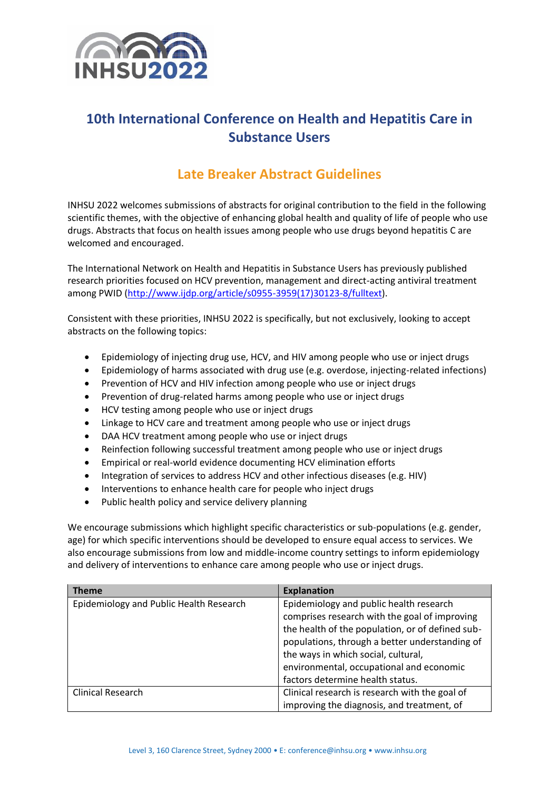

# **10th International Conference on Health and Hepatitis Care in Substance Users**

# **Late Breaker Abstract Guidelines**

INHSU 2022 welcomes submissions of abstracts for original contribution to the field in the following scientific themes, with the objective of enhancing global health and quality of life of people who use drugs. Abstracts that focus on health issues among people who use drugs beyond hepatitis C are welcomed and encouraged.

The International Network on Health and Hepatitis in Substance Users has previously published research priorities focused on HCV prevention, management and direct-acting antiviral treatment among PWID [\(http://www.ijdp.org/article/s0955-3959\(17\)30123-8/fulltext\)](http://www.ijdp.org/article/s0955-3959(17)30123-8/fulltext).

Consistent with these priorities, INHSU 2022 is specifically, but not exclusively, looking to accept abstracts on the following topics:

- Epidemiology of injecting drug use, HCV, and HIV among people who use or inject drugs
- Epidemiology of harms associated with drug use (e.g. overdose, injecting-related infections)
- Prevention of HCV and HIV infection among people who use or inject drugs
- Prevention of drug-related harms among people who use or inject drugs
- HCV testing among people who use or inject drugs
- Linkage to HCV care and treatment among people who use or inject drugs
- DAA HCV treatment among people who use or inject drugs
- Reinfection following successful treatment among people who use or inject drugs
- Empirical or real-world evidence documenting HCV elimination efforts
- Integration of services to address HCV and other infectious diseases (e.g. HIV)
- Interventions to enhance health care for people who inject drugs
- Public health policy and service delivery planning

We encourage submissions which highlight specific characteristics or sub-populations (e.g. gender, age) for which specific interventions should be developed to ensure equal access to services. We also encourage submissions from low and middle-income country settings to inform epidemiology and delivery of interventions to enhance care among people who use or inject drugs.

| <b>Theme</b>                            | <b>Explanation</b>                               |
|-----------------------------------------|--------------------------------------------------|
| Epidemiology and Public Health Research | Epidemiology and public health research          |
|                                         | comprises research with the goal of improving    |
|                                         | the health of the population, or of defined sub- |
|                                         | populations, through a better understanding of   |
|                                         | the ways in which social, cultural,              |
|                                         | environmental, occupational and economic         |
|                                         | factors determine health status.                 |
| <b>Clinical Research</b>                | Clinical research is research with the goal of   |
|                                         | improving the diagnosis, and treatment, of       |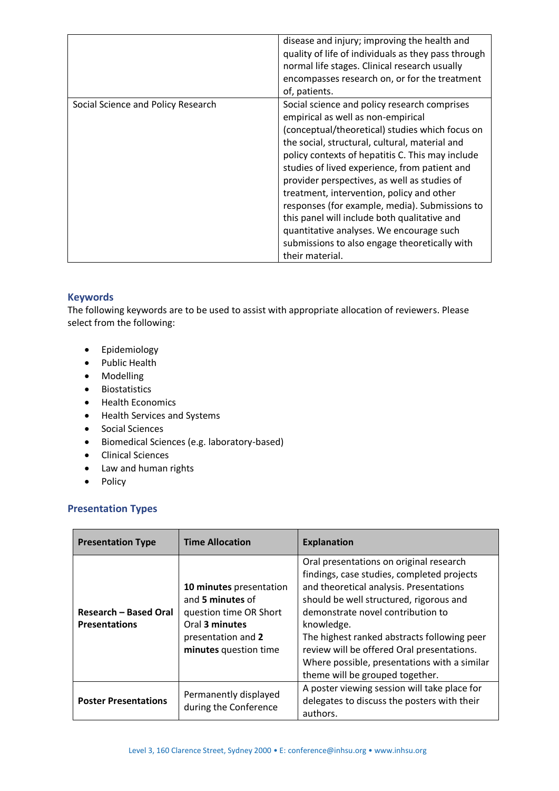|                                    | disease and injury; improving the health and<br>quality of life of individuals as they pass through<br>normal life stages. Clinical research usually<br>encompasses research on, or for the treatment<br>of, patients.                                                                                                                                                                                                                                                                                                                                                                                      |
|------------------------------------|-------------------------------------------------------------------------------------------------------------------------------------------------------------------------------------------------------------------------------------------------------------------------------------------------------------------------------------------------------------------------------------------------------------------------------------------------------------------------------------------------------------------------------------------------------------------------------------------------------------|
| Social Science and Policy Research | Social science and policy research comprises<br>empirical as well as non-empirical<br>(conceptual/theoretical) studies which focus on<br>the social, structural, cultural, material and<br>policy contexts of hepatitis C. This may include<br>studies of lived experience, from patient and<br>provider perspectives, as well as studies of<br>treatment, intervention, policy and other<br>responses (for example, media). Submissions to<br>this panel will include both qualitative and<br>quantitative analyses. We encourage such<br>submissions to also engage theoretically with<br>their material. |

## **Keywords**

The following keywords are to be used to assist with appropriate allocation of reviewers. Please select from the following:

- Epidemiology
- Public Health
- Modelling
- Biostatistics
- Health Economics
- Health Services and Systems
- Social Sciences
- Biomedical Sciences (e.g. laboratory-based)
- Clinical Sciences
- Law and human rights
- Policy

### **Presentation Types**

| <b>Presentation Type</b>                             | <b>Time Allocation</b>                                                                                                                 | <b>Explanation</b>                                                                                                                                                                                                                                                                                                                                                                                             |
|------------------------------------------------------|----------------------------------------------------------------------------------------------------------------------------------------|----------------------------------------------------------------------------------------------------------------------------------------------------------------------------------------------------------------------------------------------------------------------------------------------------------------------------------------------------------------------------------------------------------------|
| <b>Research - Based Oral</b><br><b>Presentations</b> | 10 minutes presentation<br>and 5 minutes of<br>question time OR Short<br>Oral 3 minutes<br>presentation and 2<br>minutes question time | Oral presentations on original research<br>findings, case studies, completed projects<br>and theoretical analysis. Presentations<br>should be well structured, rigorous and<br>demonstrate novel contribution to<br>knowledge.<br>The highest ranked abstracts following peer<br>review will be offered Oral presentations.<br>Where possible, presentations with a similar<br>theme will be grouped together. |
| <b>Poster Presentations</b>                          | Permanently displayed<br>during the Conference                                                                                         | A poster viewing session will take place for<br>delegates to discuss the posters with their<br>authors.                                                                                                                                                                                                                                                                                                        |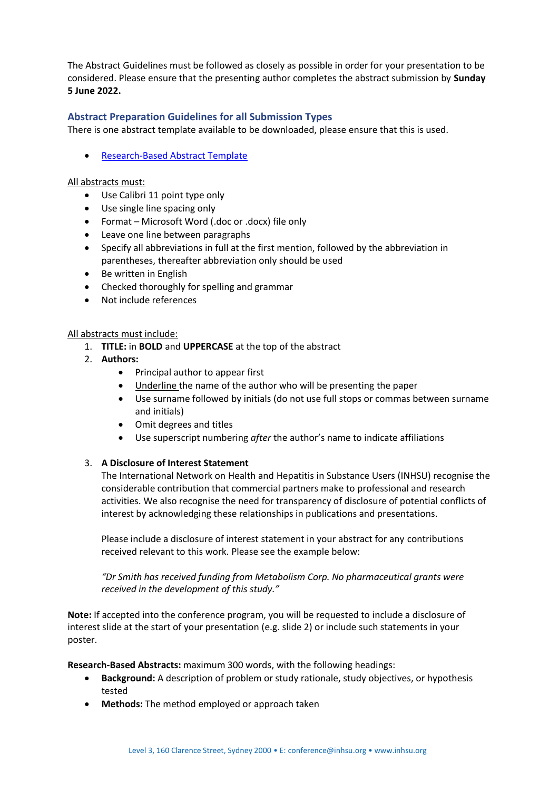The Abstract Guidelines must be followed as closely as possible in order for your presentation to be considered. Please ensure that the presenting author completes the abstract submission by **Sunday 5 June 2022.**

### **Abstract Preparation Guidelines for all Submission Types**

There is one abstract template available to be downloaded, please ensure that this is used.

• [Research-Based Abstract Template](https://az659834.vo.msecnd.net/eventsairaueprod/production-ashm-public/ca677a76129b4943897e4eb390447ab0)

#### All abstracts must:

- Use Calibri 11 point type only
- Use single line spacing only
- Format Microsoft Word (.doc or .docx) file only
- Leave one line between paragraphs
- Specify all abbreviations in full at the first mention, followed by the abbreviation in parentheses, thereafter abbreviation only should be used
- Be written in English
- Checked thoroughly for spelling and grammar
- Not include references

#### All abstracts must include:

- 1. **TITLE:** in **BOLD** and **UPPERCASE** at the top of the abstract
- 2. **Authors:** 
	- Principal author to appear first
	- Underline the name of the author who will be presenting the paper
	- Use surname followed by initials (do not use full stops or commas between surname and initials)
	- Omit degrees and titles
	- Use superscript numbering *after* the author's name to indicate affiliations

#### 3. **A Disclosure of Interest Statement**

The International Network on Health and Hepatitis in Substance Users (INHSU) recognise the considerable contribution that commercial partners make to professional and research activities. We also recognise the need for transparency of disclosure of potential conflicts of interest by acknowledging these relationships in publications and presentations.

Please include a disclosure of interest statement in your abstract for any contributions received relevant to this work. Please see the example below:

*"Dr Smith has received funding from Metabolism Corp. No pharmaceutical grants were received in the development of this study."*

**Note:** If accepted into the conference program, you will be requested to include a disclosure of interest slide at the start of your presentation (e.g. slide 2) or include such statements in your poster.

**Research-Based Abstracts:** maximum 300 words, with the following headings:

- **Background:** A description of problem or study rationale, study objectives, or hypothesis tested
- **Methods:** The method employed or approach taken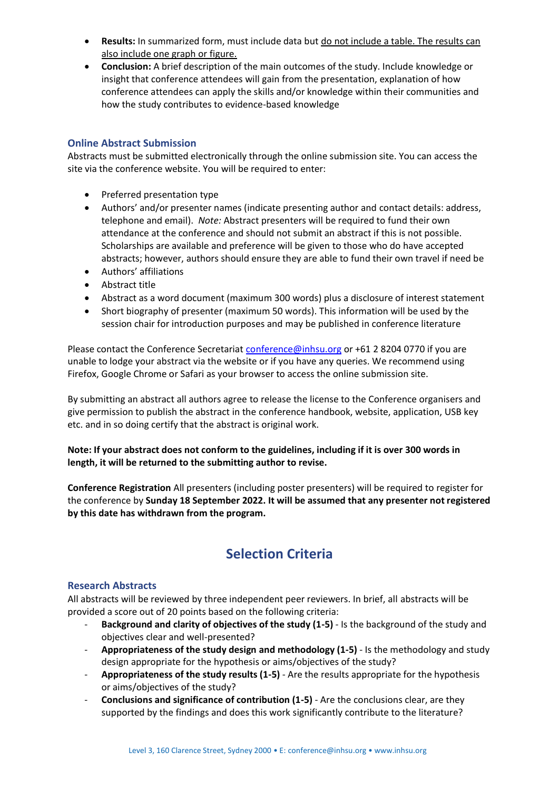- **Results:** In summarized form, must include data but do not include a table. The results can also include one graph or figure.
- **Conclusion:** A brief description of the main outcomes of the study. Include knowledge or insight that conference attendees will gain from the presentation, explanation of how conference attendees can apply the skills and/or knowledge within their communities and how the study contributes to evidence-based knowledge

## **Online Abstract Submission**

Abstracts must be submitted electronically through the online submission site. You can access the site via the conference website. You will be required to enter:

- Preferred presentation type
- Authors' and/or presenter names (indicate presenting author and contact details: address, telephone and email). *Note:* Abstract presenters will be required to fund their own attendance at the conference and should not submit an abstract if this is not possible. Scholarships are available and preference will be given to those who do have accepted abstracts; however, authors should ensure they are able to fund their own travel if need be
- Authors' affiliations
- Abstract title
- Abstract as a word document (maximum 300 words) plus a disclosure of interest statement
- Short biography of presenter (maximum 50 words). This information will be used by the session chair for introduction purposes and may be published in conference literature

Please contact the Conference Secretariat [conference@inhsu.org](mailto:conference@inhsu.org) or +61 2 8204 0770 if you are unable to lodge your abstract via the website or if you have any queries. We recommend using Firefox, Google Chrome or Safari as your browser to access the online submission site.

By submitting an abstract all authors agree to release the license to the Conference organisers and give permission to publish the abstract in the conference handbook, website, application, USB key etc. and in so doing certify that the abstract is original work.

**Note: If your abstract does not conform to the guidelines, including if it is over 300 words in length, it will be returned to the submitting author to revise.** 

**Conference Registration** All presenters (including poster presenters) will be required to register for the conference by **Sunday 18 September 2022. It will be assumed that any presenter not registered by this date has withdrawn from the program.**

## **Selection Criteria**

### **Research Abstracts**

All abstracts will be reviewed by three independent peer reviewers. In brief, all abstracts will be provided a score out of 20 points based on the following criteria:

- **Background and clarity of objectives of the study (1-5)** Is the background of the study and objectives clear and well-presented?
- **Appropriateness of the study design and methodology (1-5)** Is the methodology and study design appropriate for the hypothesis or aims/objectives of the study?
- **Appropriateness of the study results (1-5)** Are the results appropriate for the hypothesis or aims/objectives of the study?
- **Conclusions and significance of contribution (1-5)** Are the conclusions clear, are they supported by the findings and does this work significantly contribute to the literature?